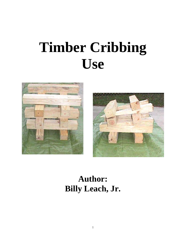# **Timber Cribbing Use**





# **Author: Billy Leach, Jr.**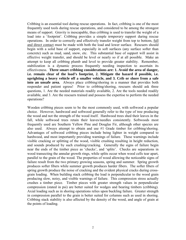Cribbing is an essential tool during rescue operations. In fact, cribbing is one of the most frequently used tools during rescue operations, and considered to be among the strongest means of support. Gravity is inescapable, thus cribbing is used to transfer the weight of a load into a 'footprint'. Cribbing provides a simple *temporary* support during rescue operations. In order to correctly and effectively transfer weight from top to bottom, full and direct contact must be made with both the load and lower surface. Rescuers should begin with a solid base of support, especially in soft surfaces (any surface softer than concrete) such as mud, sand, snow, etc. This substantial base of support will assist in effective weight transfer, and should be level or nearly so if at all possible. Make an attempt to keep all cribbing plumb and level to provide greater stability. Remember, stabilization is a dynamic process frequently needing inspection to ascertain its effectiveness. **Three smart cribbing considerations are: 1. Avoid the area of danger, i.e. remain clear of the load's footprint, 2. Mitigate the hazard if possible, i.e. uprighting a heavy vehicle off a smaller vehicle, and 3. Crib or shore from a safe into an unsafe area.** Always place cribbing/shoring in a manner that provides both responder and patient egress! Prior to cribbing/shoring, rescuers should ask three questions, 1. Are the needed materials readily available, 2. Are the tools needed readily available, and 3. Are the rescuers trained and possess the expertise to perform the needed operations?

Wooden cribbing pieces seem to be the most commonly used, with softwood a popular choice. However, hardwood and softwood generally refer to the type of tree producing the wood and not the strength of the wood itself. Hardwood trees shed their leaves in the fall, while softwood trees retain their leaves/needles consistently. Softwoods most frequently used are Southern Yellow Pine and Douglas Fir, although other species are also used. Always attempt to obtain and use #1 Grade timber for cribbing/shoring. Advantages of softwood cribbing pieces include being lighter in weight compared to hardwood, and most importantly providing warnings of failure. These warnings include visible cracking or splitting of the wood, visible crushing resulting in height reduction, and sounds produced by such crushing/cracking. Generally the signs of failure begin near the ends of the timber piece as 'checks', and 'splits'. Checks are separations in wood transecting the annular growth rings, while splits occur when wood cells tear apart, parallel to the grain of the wood. The properties of wood allowing the noticeable signs of failure result from the two primary growing seasons, spring and summer. Spring growth produces softer fibers while summer growth produces harder fibers. The softer fibers of spring growth produce the noise of cracking and the evident physical cracks during crossgrain loading. When building stack cribbing the load is perpendicular to the wood grain producing slow, noisy, and visible warnings of failure. This compression stress actually crushes a timber piece. Timber pieces with greater strength values in perpendicular compression (stated in psi) are better suited for wedges and bearing timbers (cribbing). Axial loading such as in shoring operations relies upon buckling failure. Greater strength in compression parallel to the grain is better suited for columns such as used in shoring. Cribbing stack stability is also affected by the density of the wood, and angle of grain at the points of loading.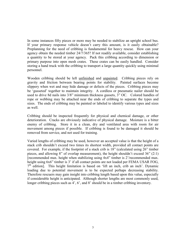In some instances fifty pieces or more may be needed to stabilize an upright school bus. If your primary response vehicle doesn't carry this amount, is it easily obtainable? Preplanning for the need of cribbing is fundamental for heavy rescue. How can your agency obtain the needed timber 24/7/365? If not readily available, consider establishing a quantity to be stored at your agency. Pack this cribbing according to dimension or primary purpose into open mesh crates. These crates can be easily handled. Consider storing a hand truck with the cribbing to transport a large quantity quickly using minimal personnel.

Wooden cribbing should be left unfinished and unpainted. Cribbing pieces rely on gravity and friction between bearing points for stability. Painted surfaces become slippery when wet and may hide damage or defects of the pieces. Cribbing pieces may be 'gusseted' together to maintain integrity. A cordless or pneumatic nailer should be used to drive 8d nails into 3/8" minimum thickness gussets, 3" OC. Colored handles of rope or webbing may be attached near the ends of cribbing to separate the types and sizes. The ends of cribbing may be painted or labeled to identify various types and sizes as well.

Cribbing should be inspected frequently for physical and chemical damage, or other deterioration. Cracks are obviously indicative of physical damage. Moisture is a bitter enemy of cribbing. Store it in a clean, dry and ventilated area with room for air movement among pieces if possible. If cribbing is found to be damaged it should be removed from service, and not used for training.

Varied lengths of cribbing may be used, however an accepted value is that the height of a stack crib shouldn't exceed two times its shortest width, provided all contact points are covered. For example, if the footprint of a stack crib is 18" (calculated using 26" timber pieces, and allowing 8" of overlap measurement), the height shouldn't exceed 36" (2:1) [recommended max. height when stabilizing using 4x4" timber is 2'/recommended max. height using 6x6" timber is 3' if all contact points are not loaded per FEMA USAR FOG,  $7<sup>th</sup>$  edition]. This height limitation is based on 'lift an inch, crib an inch'. Dynamic loading due to potential movement is to be expected perhaps decreasing stability. Therefore rescuers may gain insight into cribbing length based upon this value, especially if considerable height is anticipated. Although shorter lengths are most commonly used, longer cribbing pieces such as 4', 6', and 8' should be in a timber cribbing inventory.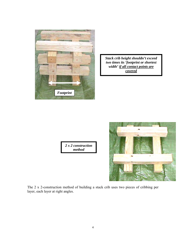

*Stack crib height shouldn't exceed two times its 'footprint or shortest width' if all contact points are covered*

*2 x 2 construction method*



The 2 x 2-construction method of building a stack crib uses two pieces of cribbing per layer, each layer at right angles.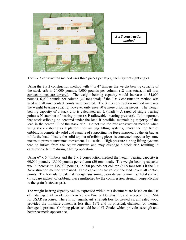

*3 x 3 construction method*

The 3 x 3 construction method uses three pieces per layer, each layer at right angles.

Using the 2 x 2 construction method with 4" x 4" timbers the weight bearing capacity of the stack crib is 24,000 pounds, 6,000 pounds per column (12 tons total), if all four contact points are covered. The weight bearing capacity would increase to 54,000 pounds,  $6,000$  pounds per column (27 tons total) if the 3 x 3-construction method was used and all nine contact points were covered. The 3 x 3 construction method increases the weight bearing capacity, however only uses 50% more cribbing pieces. The weight bearing capacity of a stack crib is calculated as: L (load) = A (area of single bearing point) x N (number of bearing points) x P (allowable bearing pressure). It is important that stack cribbing be centered under the load if possible, maintaining majority of the load in the center 1/3 of the stack crib. Do not use the 2x2 construction method when using stack cribbing as a platform for air bag lifting systems, *unless* the top tier of cribbing is completely solid and capable of supporting the force imposed by the air bag as it lifts the load. Ideally the solid top tier of cribbing pieces is connected together by some means to prevent unwanted movement, i.e. 'scabs'. High pressure air bag lifting systems tend to inflate from the center outward and may dislodge a stack crib resulting in catastrophic failure during a lifting operation.

Using 6" x 6" timbers and the 2 x 2 construction method the weight bearing capacity is 60,000 pounds, 15,000 pounds per column (30 tons total). The weight bearing capacity would increase to 135,000 pounds, 15,000 pounds per column (67.5 tons total) if the 3  $x$ 3-construction method were used. These capacities are valid if the load covers all contact points. The formula to calculate weight sustaining capacity *per column* is: Total surface (in square inches) of cribbing piece multiplied by the compression strength perpendicular to the grain (stated as psi).

The weight bearing capacity values expressed within this document are based on the use of undamaged #1 Grade Southern Yellow Pine or Douglas Fir, and accepted by FEMA for USAR response. There is no 'significant' strength loss for treated vs. untreated wood provided the moisture content is less than 19% and no physical, chemical, or thermal damage is present. Cribbing pieces should be of #1 Grade, which provides strength and better cosmetic appearance.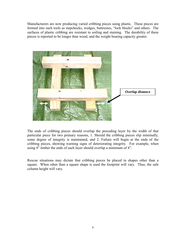Manufacturers are now producing varied cribbing pieces using plastic. These pieces are formed into such tools as stepchocks, wedges, buttresses, "lock blocks" and others. The surfaces of plastic cribbing are resistant to soiling and staining. The durability of these pieces is reported to be longer than wood, and the weight bearing capacity greater.



The ends of cribbing pieces should overlap the preceding layer by the width of that particular piece for two primary reasons, 1. Should the cribbing pieces slip minimally, some degree of integrity is maintained, and 2. Failure will begin at the ends of the cribbing pieces, showing warning signs of deteriorating integrity. For example, when using 4" timber the ends of each layer should overlap a minimum of 4".

Rescue situations may dictate that cribbing pieces be placed in shapes other than a square. When other than a square shape is used the footprint will vary. Thus, the safe column height will vary.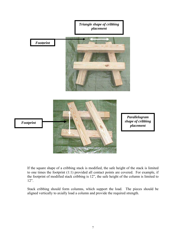

If the square shape of a cribbing stack is modified, the safe height of the stack is limited to one times the footprint (1:1) provided all contact points are covered. For example, if the footprint of modified stack cribbing is 12", the safe height of the column is limited to 12".

Stack cribbing should form columns, which support the load. The pieces should be aligned vertically to axially load a column and provide the required strength.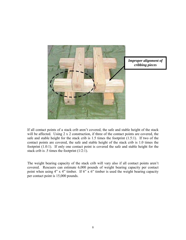

If all contact points of a stack crib aren't covered, the safe and stable height of the stack will be affected. Using 2 x 2 construction, if three of the contact points are covered, the safe and stable height for the stack crib is 1.5 times the footprint (1.5:1). If two of the contact points are covered, the safe and stable height of the stack crib is 1.0 times the footprint (1.0:1). If only one contact point is covered the safe and stable height for the stack crib is .5 times the footprint (1/2:1).

The weight bearing capacity of the stack crib will vary also if all contact points aren't covered. Rescuers can estimate 6,000 pounds of weight bearing capacity per contact point when using 4" x 4" timber. If 6" x 6" timber is used the weight bearing capacity per contact point is 15,000 pounds.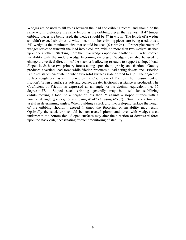Wedges are be used to fill voids between the load and cribbing pieces, and should be the same width, preferably the same length as the cribbing pieces themselves. If 4" timber cribbing pieces are being used, the wedge should be 4" in width. The length of a wedge shouldn't exceed six times its width, i.e. 4" timber cribbing pieces are being used, thus a 24" wedge is the maximum size that should be used  $(6 \times 4 = 24)$ . Proper placement of wedges serves to transmit the load into a column, with no more than two wedges stacked upon one another. Stacking more than two wedges upon one another will likely produce instability with the middle wedge becoming dislodged. Wedges can also be used to change the vertical direction of the stack crib allowing rescuers to support a sloped load. Sloped loads have two primary forces acting upon them, gravity and friction. Gravity produces a vertical load force while friction produces a load acting downslope. Friction is the resistance encountered when two solid surfaces slide or tend to slip. The degree of surface roughness has an influence on the Coefficient of Friction (the measurement of friction). When a surface is soft and coarse, greater frictional resistance is produced. The Coefficient of Friction is expressed as an angle, or its decimal equivalent, i.e. 15 degrees=.27. Sloped stack cribbing generally may be used for stabilizing (while moving a load) to a height of less than 2' against a sloped surface with a horizontal angle  $\leq 6$  degrees and using 4"x4" (3' using 6"x6"). Small protractors are useful in determining angles. When building a stack crib into a sloping surface the height of the cribbing shouldn't exceed 1 times the footprint, or instability may result. Optimally the stack crib should be constructed plumb and level with wedges used underneath the bottom tier. Sloped surfaces may alter the direction of downward force upon the stack crib, necessitating frequent monitoring of stability.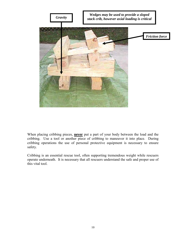

When placing cribbing pieces, **never** put a part of your body between the load and the cribbing. Use a tool or another piece of cribbing to maneuver it into place. During cribbing operations the use of personal protective equipment is necessary to ensure safety.

Cribbing is an essential rescue tool, often supporting tremendous weight while rescuers operate underneath. It is necessary that all rescuers understand the safe and proper use of this vital tool.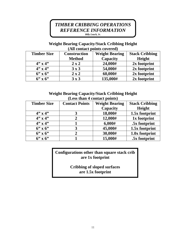# *TIMBER CRIBBING OPERATIONS REFERENCE INFORMATION Billy Leach, Jr.*

# **Weight Bearing Capacity/Stack Cribbing Height (All contact points covered)**

| <b>Timber Size</b> | <b>Construction</b> | <b>Weight Bearing</b> | <b>Stack Cribbing</b> |  |
|--------------------|---------------------|-----------------------|-----------------------|--|
|                    | <b>Method</b>       | <b>Capacity</b>       | Height                |  |
| $4" \times 4"$     | $2 \times 2$        | 24,000#               | 2x footprint          |  |
| $4" \times 4"$     | 3x3                 | 54,000#               | 2x footprint          |  |
| $6'' \times 6''$   | $2 \times 2$        | 60,000#               | 2x footprint          |  |
| $6'' \times 6''$   | 3x3                 | 135,000#              | 2x footprint          |  |

### **Weight Bearing Capacity/Stack Cribbing Height (Less than 4 contact points)**

| <b>Timber Size</b> | <b>Contact Points</b> | <b>Weight Bearing</b> | <b>Stack Cribbing</b> |  |
|--------------------|-----------------------|-----------------------|-----------------------|--|
|                    |                       | Capacity              | Height                |  |
| $4" \times 4"$     |                       | 18,000#               | 1.5x footprint        |  |
| $4" \times 4"$     | $\mathbf{2}$          | 12,000#               | 1x footprint          |  |
| $4" \times 4"$     |                       | 6,000#                | .5x footprint         |  |
| $6'$ x $6'$        | 3                     | 45,000#               | 1.5x footprint        |  |
| $6'' \times 6''$   | 2                     | 30,000#               | 1.0x footprint        |  |
| $6'$ x $6'$        |                       | 15,000#               | .5x footprint         |  |

# **Configurations other than square stack crib are 1x footprint**

**Cribbing of sloped surfaces are 1.5x footprint**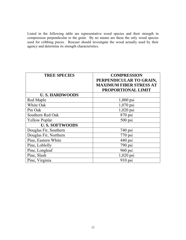Listed in the following table are representative wood species and their strength in compression perpendicular to the grain. By no means are these the only wood species used for cribbing pieces. Rescuer should investigate the wood actually used by their agency and determine its strength characteristics.

| <b>TREE SPECIES</b>   | <b>COMPRESSION</b>             |
|-----------------------|--------------------------------|
|                       | PERPENDICULAR TO GRAIN,        |
|                       | <b>MAXIMUM FIBER STRESS AT</b> |
|                       | PROPORTIONAL LIMIT             |
| <b>U.S. HARDWOODS</b> |                                |
| Red Maple             | $1,000$ psi                    |
| White Oak             | $1,070$ psi                    |
| Pin Oak               | $1,020$ psi                    |
| Southern Red Oak      | 870 psi                        |
| <b>Yellow Poplar</b>  | $500$ psi                      |
| <b>U.S. SOFTWOODS</b> |                                |
| Douglas Fir, Southern | $740$ psi                      |
| Douglas Fir, Northern | $770$ psi                      |
| Pine, Eastern White   | $440$ psi                      |
| Pine, Loblolly        | $790$ psi                      |
| Pine, Longleaf        | $960$ psi                      |
| Pine, Slash           | 1,020 psi                      |
| Pine, Virginia        | 910 psi                        |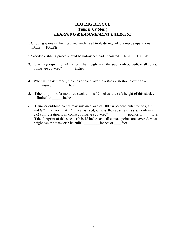### **BIG RIG RESCUE** *Timber Cribbing LEARNING MEASUREMENT EXERCISE*

- 1. Cribbing is one of the most frequently used tools during vehicle rescue operations. TRUE FALSE
- 2. Wooden cribbing pieces should be unfinished and unpainted. TRUE FALSE
- 3. Given a *footprint* of 24 inches, what height may the stack crib be built, if all contact points are covered? \_\_\_\_\_\_ inches
- 4. When using 4" timber, the ends of each layer in a stack crib should overlap a minimum of  $\qquad$  inches.
- 5. If the footprint of a modified stack crib is 12 inches, the safe height of this stack crib is limited to inches.
- 6. If timber cribbing pieces may sustain a load of 500 psi perpendicular to the grain, and *full dimensional 4x4" timber* is used, what is the capacity of a stack crib in a 2x2 configuration if all contact points are covered? \_\_\_\_\_\_\_\_\_\_ pounds or \_\_\_\_ tons If the footprint of this stack crib is 18 inches and all contact points are covered, what height can the stack crib be built? \_\_\_\_\_\_\_\_\_inches or \_\_\_\_feet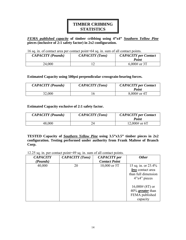# **TIMBER CRIBBING STATISTICS**

*FEMA published capacity* **of timber cribbing using 4"x4"** *Southern Yellow Pine* **pieces (inclusive of 2:1 safety factor) in 2x2 configuration.** 

#### 16 sq. in. of contact area per contact point=64 sq. in. sum of all contact points.

| <b>CAPACITY</b> (Pounds) | <b>CAPACITY</b> (Tons) | <b>CAPACITY</b> per Contact<br>Point |
|--------------------------|------------------------|--------------------------------------|
| 24,000                   |                        | $6,000#$ or 3T                       |

#### **Estimated Capacity using 500psi perpendicular crossgrain-bearing forces.**

| <b>CAPACITY</b> (Pounds) | <b>CAPACITY</b> (Tons) | <b>CAPACITY</b> per Contact<br>Point |
|--------------------------|------------------------|--------------------------------------|
| 32,000                   |                        | $8,000#$ or 4T                       |

#### **Estimated Capacity exclusive of 2:1 safety factor.**

| <b>CAPACITY</b> (Pounds) | <b>CAPACITY</b> (Tons) | <b>CAPACITY</b> per Contact<br>Point |
|--------------------------|------------------------|--------------------------------------|
| 48,000                   |                        | 12,000# or $6T$                      |

**TESTED Capacity of** *Southern Yellow Pine* **using 3.5"x3.5" timber pieces in 2x2 configuration. Testing performed under authority from Frank Maltese of Branch Corp.**

12.25 sq. in. per contact point=49 sq. in. sum of all contact points.

| <b>CAPACITY</b> | <b>CAPACITY</b> (Tons) | <b>CAPACITY</b> per  | <b>Other</b>        |
|-----------------|------------------------|----------------------|---------------------|
| (Pounds)        |                        | <b>Contact Point</b> |                     |
| 40,000          | 20                     | 10,000 or $5T$       | 15 sq. in. or 23.4% |
|                 |                        |                      | less contact area   |
|                 |                        |                      | than full dimension |
|                 |                        |                      | 4"x4" pieces        |
|                 |                        |                      |                     |
|                 |                        |                      | $16,000\# (8T)$ or  |
|                 |                        |                      | $40\%$ greater than |
|                 |                        |                      | FEMA published      |
|                 |                        |                      | capacity            |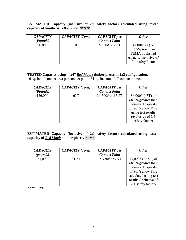**ESTIMATED Capacity (inclusive of 2:1 safety factor) calculated using tested capacity of** *Southern Yellow Pine***.** 

| <b>CAPACITY</b> | <b>CAPACITY</b> (Tons) | <b>CAPACITY</b> per  | <b>Other</b>           |
|-----------------|------------------------|----------------------|------------------------|
| (Pounds)        |                        | <b>Contact Point</b> |                        |
| 20,000          | 10T                    | 5,000# or $2.5T$     | $4,000\# (2T)$ or      |
|                 |                        |                      | 16.7% <i>less</i> than |
|                 |                        |                      | FEMA published         |
|                 |                        |                      | capacity inclusive of  |
|                 |                        |                      | 2:1 safety factor      |

#### **TESTED Capacity using 4"x4"** *Red Maple* **timber pieces in 2x2 configuration.**

16 sq. in. of contact area per contact point=64 sq. in. sum of all contact points.

| <b>CAPACITY</b> | <b>CAPACITY</b> (Tons) | <b>CAPACITY</b> per  | <b>Other</b>        |
|-----------------|------------------------|----------------------|---------------------|
| (Pounds)        |                        | <b>Contact Point</b> |                     |
| 126,000         | 63T                    | 31,500# or 15.8T     | $86,000\# (43T)$ or |
|                 |                        |                      | 68.3% greater than  |
|                 |                        |                      | estimated capacity  |
|                 |                        |                      | of So. Yellow Pine  |
|                 |                        |                      | using test results  |
|                 |                        |                      | (exclusive of 2:1)  |
|                 |                        |                      | safety factor)      |

#### **ESTIMATED Capacity (inclusive of 2:1 safety factor) calculated using tested capacity of** *Red Maple* **timber pieces.**

| <b>CAPACITY</b> | <b>CAPACITY</b> (Tons) | <b>CAPACITY</b> per  | <b>Other</b>          |
|-----------------|------------------------|----------------------|-----------------------|
| (pounds)        |                        | <b>Contact Point</b> |                       |
| 63,000          | 31.5T                  | 15,750# or 7.9T      | $43,000\# (21.5T)$ or |
|                 |                        |                      | 68.3% greater than    |
|                 |                        |                      | estimated capacity    |
|                 |                        |                      | of So. Yellow Pine    |
|                 |                        |                      | calculated using test |
|                 |                        |                      | results (inclusive of |
|                 |                        |                      | 2:1 safety factor)    |

B. Leach 13Sept13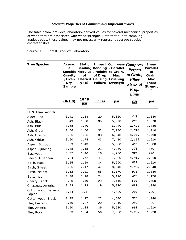#### *Strength Properties of Commercially Important Woods*

The table below provides laboratory-derived values for several mechanical properties of wood that are associated with wood strength. Note that due to sampling inadequacies, these values may not necessarily represent average species characteristics.

Source: U.S. Forest Products Laboratory

| <b>Tree Species</b>          | Averag<br>е<br>Gravity<br>, Oven<br>Dry<br>Sample | <b>Static</b><br>Specific Modulus, Height<br>Οf<br>y(E) | <b>Bending Bending</b><br>of Drop<br><b>Elasticit Causing</b><br><b>Failure</b> | . Parallel<br>to Grain,<br>Max<br>Crushing<br>Strength | Impact Compress Compress<br>. Perpen.<br>to Grain,<br><b>Fiber</b><br>Stress at<br>Prop.<br>Limit | <b>Shear</b><br><b>Parallel</b><br>to<br>Grain,<br><b>Max</b><br><b>Shear</b><br><b>Strengt</b><br>h |
|------------------------------|---------------------------------------------------|---------------------------------------------------------|---------------------------------------------------------------------------------|--------------------------------------------------------|---------------------------------------------------------------------------------------------------|------------------------------------------------------------------------------------------------------|
|                              | $(0-1.0)$                                         | 10^6<br>psi                                             | inches                                                                          | <u>psi</u>                                             | <u>psi</u>                                                                                        | <u>psi</u>                                                                                           |
| U.S. Hardwoods               |                                                   |                                                         |                                                                                 |                                                        |                                                                                                   |                                                                                                      |
| Alder, Red                   | 0.41                                              | 1.38                                                    | 20                                                                              | 5,820                                                  | 440                                                                                               | 1,080                                                                                                |
| Ash, Black                   | 0.49                                              | 1.60                                                    | 35                                                                              | 5,970                                                  | 760                                                                                               | 1,570                                                                                                |
| Ash, Blue                    | 0.58                                              | 1.40                                                    | $\overline{\phantom{a}}$                                                        | 6,980                                                  | 1,420                                                                                             | 2,030                                                                                                |
| Ash, Green                   | 0.56                                              | 1.66                                                    | 32                                                                              | 7,080                                                  | 1,310                                                                                             | 1,910                                                                                                |
| Ash, Oregon                  | 0.55                                              | 1.36                                                    | 33                                                                              | 6,040                                                  | 1,250                                                                                             | 1,790                                                                                                |
| Ash, White                   | 0.60                                              | 1.74                                                    | 43                                                                              | 7,410                                                  | <i>1,160</i>                                                                                      | 1,910                                                                                                |
| Aspen, Bigtooth              | 0.39                                              | 1.43                                                    | $\overline{\phantom{a}}$                                                        | 5,300                                                  | 450                                                                                               | 1,080                                                                                                |
| Aspen, Quaking               | 0.38                                              | 1.18                                                    | 21                                                                              | 4,250                                                  | 370                                                                                               | 850                                                                                                  |
| Basswood                     | 0.37                                              | 1.46                                                    | 16                                                                              | 4,730                                                  | 370                                                                                               | 990                                                                                                  |
| Beech, American              | 0.64                                              | 1.72                                                    | 41                                                                              | 7,300                                                  | <i>1,010</i>                                                                                      | 2,010                                                                                                |
| Birch, Paper                 | 0.55                                              | 1.59                                                    | 34                                                                              | 5,690                                                  | 600                                                                                               | 1,210                                                                                                |
| Birch, Sweet                 | 0.65                                              | 2.17                                                    | 47                                                                              | 8,540                                                  | 1,080                                                                                             | 2,240                                                                                                |
| Birch, Yellow                | 0.62                                              | 2.01                                                    | 55                                                                              | 8,170                                                  | 970                                                                                               | 1,880                                                                                                |
| <b>Butternut</b>             | 0.38                                              | 1.18                                                    | 24                                                                              | 5,110                                                  | 460                                                                                               | 1,170                                                                                                |
| Cherry, Black                | 0.50                                              | 1.49                                                    | 29                                                                              | 7,110                                                  | 690                                                                                               | 1,700                                                                                                |
| Chestnut, American           | 0.43                                              | 1.23                                                    | 19                                                                              | 5,320                                                  | 620                                                                                               | 1,080                                                                                                |
| Cottonwood, Balsam<br>Poplar | 0.34                                              | 1.1                                                     |                                                                                 | 4,020                                                  | 300                                                                                               | 790                                                                                                  |
| Cottonwood, Black            | 0.35                                              | 1.27                                                    | 22                                                                              | 4,500                                                  | 300                                                                                               | 1,040                                                                                                |
| Elm, Eastern                 | 0.40                                              | 1.37                                                    | 20                                                                              | 4,910                                                  | 380                                                                                               | 930                                                                                                  |
| Elm, American                | 0.50                                              | 1.34                                                    | 39                                                                              | 5,520                                                  | 690                                                                                               | 1,510                                                                                                |
| Elm, Rock                    | 0.63                                              | 1.54                                                    | 56                                                                              | 7,050                                                  | 1,230                                                                                             | 1,920                                                                                                |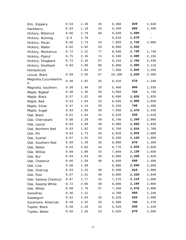| Elm, Slippery              | 0.53   | 1.49 | 45        | 6,360  | 820   | 1,630                    |
|----------------------------|--------|------|-----------|--------|-------|--------------------------|
| Hackberry                  | 0.53   | 1.19 | 43        | 5,440  | 890   | 1,590                    |
| Hickory, Bitternut         | 0.66   | 1.79 | 66        | 9,040  | 1,680 |                          |
| Hickory, Nutmeg            | 0.6    | 1.70 | $\equiv$  | 6,910  | 1,570 | -                        |
| Hickory, Pecan             | 0.66   | 1.73 | 44        | 7,850  | 1,720 | 2,080                    |
| Hickory, Water             | 0.62   | 2.02 | 53        | 8,600  | 1,550 | $\overline{\phantom{a}}$ |
| Hickory, Mockernut         | 0.72   | 2.22 | 77        | 8,940  | 1,730 | 1,740                    |
| Hickory, Pignut            | 0.75   | 2.26 | 74        | 9,190  | 1,980 | 2,150                    |
| Hickory, Shagbark          | 0.72   | 2.16 | 67        | 9,210  | 1,760 | 2,430                    |
| Hickory, Shellbark         | 0.69   | 1.89 | 88        | 8,000  | 1,800 | 2,110                    |
| Honeylocust                | $\sim$ | 1.63 | 47        | 7,500  | 1,840 | 2,250                    |
| Locust, Black              | 0.69   | 2.05 | 57        | 10,180 | 1,830 | 2,480                    |
| Magnolia, Cucumbertre<br>е | 0.48   | 1.82 | 35        | 6,310  | 570   | 1,340                    |
| Magnolia, Southern         | 0.50   | 1.40 | 29        | 5,460  | 860   | 1,530                    |
| Maple, Bigleaf             | 0.48   | 1.45 | 28        | 5,950  | 750   | 1,730                    |
| Maple, Black               | 0.57   | 1.62 | 40        | 6,680  | 1,020 | 1,820                    |
| Maple, Red                 | 0.54   | 1.64 | 32        | 6,540  | 1,000 | 1,850                    |
| Maple, Silver              | 0.47   | 1.14 | 25        | 5,220  | 740   | 1,480                    |
| Maple, Sugar               | 0.63   | 1.83 | 39        | 7,830  | 1,470 | 2,330                    |
| Oak, Black                 | 0.61   | 1.64 | 41        | 6,520  | 930   | 1,910                    |
| Oak, Cherrybark            | 0.68   | 2.28 | 49        | 8,740  | 1,250 | 2,000                    |
| Oak, Laurel                | 0.63   | 1.69 | 39        | 6,980  | 1,060 | 1,830                    |
| Oak, Northern Red          | 0.63   | 1.82 | 43        | 6,760  | 1,010 | 1,780                    |
| Oak, Pin                   | 0.63   | 1.73 | 45        | 6,820  | 1,020 | 2,080                    |
| Oak, Scarlet               | 0.67   | 1.91 | 53        | 8,330  | 1,120 | 1,890                    |
| Oak, Southern Red          | 0.59   | 1.49 | 26        | 6,090  | 870   | 1,390                    |
| Oak, Water                 | 0.63   | 2.02 | 44        | 6,770  | 1,020 | 2,020                    |
| Oak, Willow                | 0.69   | 1.90 | 42        | 7,040  | 1,130 | 1,650                    |
| Oak, Bur                   | 0.64   | 1.03 | 29        | 6,060  | 1,200 | 1,820                    |
| Oak, Chestnut              | 0.66   | 1.59 | 40        | 6,830  | 840   | 1,490                    |
| Oak, Live                  | 0.88   | 1.98 | $\bar{ }$ | 8,900  | 2,840 | 2,660                    |
| Oak, Overcup               | 0.63   | 1.42 | 38        | 6,200  | 810   | 2,000                    |
| Oak, Post                  | 0.67   | 1.51 | 46        | 6,600  | 1,430 | 1,840                    |
| Oak, Swamp Chestnut        | 0.67   | 1.77 | 41        | 7,270  | 1,110 | 1,990                    |
| Oak, Swamp White           | 0.72   | 2.05 | 49        | 8,600  | 1,190 | 2,000                    |
| Oak, White                 | 0.68   | 1.78 | 37        | 7,440  | 1,070 | 2,000                    |
| Sassafras                  | 0.46   | 1.12 |           | 4,760  | 850   | 1,240                    |
| Sweetgum                   | 0.52   | 1.64 | 32        | 6,320  | 620   | 1,600                    |
| Sycamore, American         | 0.49   | 1.42 | 26        | 5,380  | 700   | 1,470                    |
| Tupelo, Black              | 0.50   | 1.20 | 22        | 5,520  | 930   | 1,340                    |
| Tupelo, Water              | 0.50   | 1.26 | 23        | 5,920  | 870   | 1,590                    |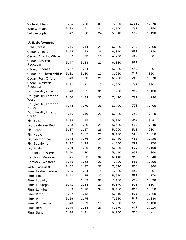| Walnut, Black                       | 0.55 | 1.68 | 34                       | 7,580 | 1,010 | 1,370 |
|-------------------------------------|------|------|--------------------------|-------|-------|-------|
| Willow, Black                       | 0.39 | 1.01 | $\overline{\phantom{a}}$ | 4,100 | 430   | 1,250 |
| Yellow-poplar                       | 0.42 | 1.58 | 24                       | 5,540 | 500   | 1,190 |
| U.S. Softwoods                      |      |      |                          |       |       |       |
|                                     | 0.46 | 1.44 | 24                       | 6,360 | 730   | 1,000 |
| <b>Baldcypress</b><br>Cedar, Alaska | 0.44 | 1.42 | 29                       | 6,310 | 620   | 1,130 |
|                                     | 0.32 | 0.93 | 13                       | 4,700 | 410   | 800   |
| Cedar, Atlantic White               |      |      |                          |       |       |       |
| Cedar, Eastern<br>Redcedar          | 0.47 | 0.88 | 22                       | 6,020 | 920   | -     |
| Cedar, Incense                      | 0.37 | 1.04 | 17                       | 5,200 | 590   | 880   |
| Cedar, Northern White               | 0.31 | 0.80 | 12                       | 3,960 | 310   | 850   |
| Cedar, Port-Orford                  | 0.43 | 1.70 | 28                       | 6,250 | 720   | 1,370 |
| Cedar, Western<br>Redcedar          | 0.32 | 1.11 | 17                       | 4,560 | 460   | 990   |
| Douglas-fir, Coast                  | 0.48 | 1.95 | 31                       | 7,230 | 800   | 1,130 |
| Douglas-fir, Interior<br>West       | 0.50 | 1.83 | 32                       | 7,430 | 760   | 1,290 |
| Douglas-fir, Interior<br>North      | 0.48 | 1.79 | 26                       | 6,900 | 770   | 1,400 |
| Douglas-fir, Interior<br>South      | 0.46 | 1.49 | 20                       | 6,230 | 740   | 1,510 |
| Fir, Balsam                         | 0.35 | 1.45 | 20                       | 5,280 | 404   | 944   |
| Fir, California Red                 | 0.38 | 1.50 | 24                       | 5,460 | 610   | 1,040 |
| Fir, Grand                          | 0.37 | 1.57 | 28                       | 5,290 | 500   | 900   |
| Fir, Noble                          | 0.39 | 1.72 | 23                       | 6,100 | 520   | 1,050 |
| Fir, Pacific silver                 | 0.43 | 1.76 | 24                       | 6,410 | 450   | 1,220 |
| Fir, Subalpine                      | 0.32 | 1.29 | $\overline{\phantom{a}}$ | 4,860 | 390   | 1,070 |
| Fir, White                          | 0.39 | 1.50 | 20                       | 5,800 | 530   | 1,100 |
| Hemlock, Eastern                    | 0.40 | 1.20 | 21                       | 5,410 | 650   | 1,060 |
| Hemlock, Mountain                   | 0.45 | 1.33 | 32                       | 6,440 | 860   | 1,540 |
| Hemlock, Western                    | 0.45 | 1.63 | 23                       | 7,200 | 550   | 1,290 |
| Larch, western                      | 0.52 | 1.87 | 35                       | 7,620 | 930   | 1,360 |
| Pine, Eastern white                 | 0.35 | 1.24 | 18                       | 4,800 | 440   | 900   |
| Pine, Jack                          | 0.43 | 1.35 | 27                       | 5,660 | 580   | 1,170 |
| Pine, Loblolly                      | 0.51 | 1.79 | 30                       | 7,130 | 790   | 1,390 |
| Pine, Lodgepole                     | 0.41 | 1.34 | 20                       | 5,370 | 610   | 880   |
| Pine, Longleaf                      | 0.59 | 1.98 | 34                       | 8,470 | 960   | 1,510 |
| Pine, Pitch                         | 0.52 | 1.43 | $\qquad \qquad -$        | 5,940 | 820   | 1,360 |
| Pine, Pond                          | 0.56 | 1.75 | $-$                      | 7,540 | 910   | 1,380 |
| Pine, Ponderosa                     | 0.40 | 1.29 | 19                       | 5,320 | 580   | 1,130 |
| Pine, Red                           | 0.46 | 1.63 | 26                       | 6,070 | 600   | 1,210 |
| Pine, Sand                          | 0.48 | 1.41 | $\overline{\phantom{0}}$ | 6,920 | 836   |       |